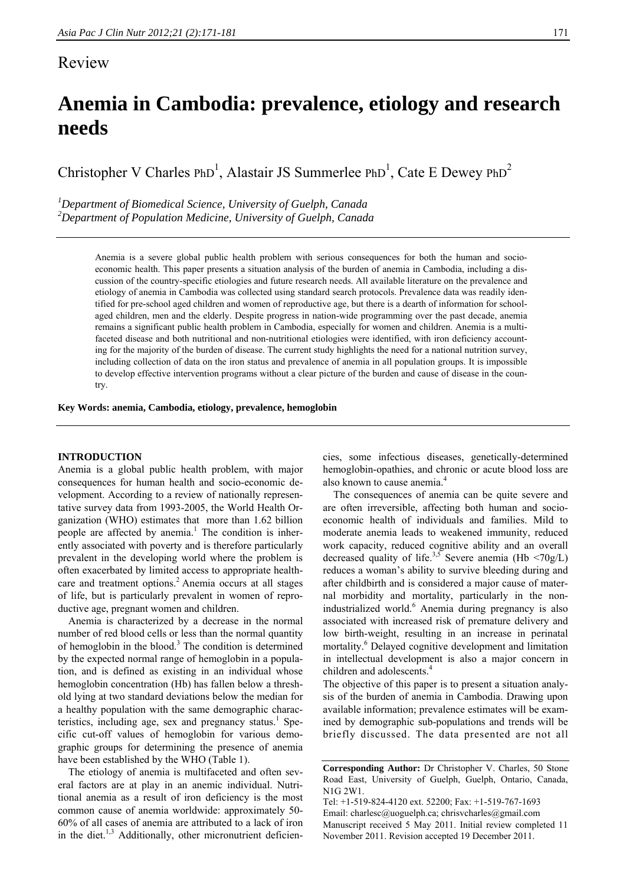# Review

# **Anemia in Cambodia: prevalence, etiology and research needs**

Christopher V Charles  $PhD<sup>1</sup>$ , Alastair JS Summerlee  $PhD<sup>1</sup>$ , Cate E Dewey  $PhD<sup>2</sup>$ 

*1 Department of Biomedical Science, University of Guelph, Canada 2 Department of Population Medicine, University of Guelph, Canada* 

> Anemia is a severe global public health problem with serious consequences for both the human and socioeconomic health. This paper presents a situation analysis of the burden of anemia in Cambodia, including a discussion of the country-specific etiologies and future research needs. All available literature on the prevalence and etiology of anemia in Cambodia was collected using standard search protocols. Prevalence data was readily identified for pre-school aged children and women of reproductive age, but there is a dearth of information for schoolaged children, men and the elderly. Despite progress in nation-wide programming over the past decade, anemia remains a significant public health problem in Cambodia, especially for women and children. Anemia is a multifaceted disease and both nutritional and non-nutritional etiologies were identified, with iron deficiency accounting for the majority of the burden of disease. The current study highlights the need for a national nutrition survey, including collection of data on the iron status and prevalence of anemia in all population groups. It is impossible to develop effective intervention programs without a clear picture of the burden and cause of disease in the country.

**Key Words: anemia, Cambodia, etiology, prevalence, hemoglobin** 

## **INTRODUCTION**

Anemia is a global public health problem, with major consequences for human health and socio-economic development. According to a review of nationally representative survey data from 1993-2005, the World Health Organization (WHO) estimates that more than 1.62 billion people are affected by anemia.<sup>1</sup> The condition is inherently associated with poverty and is therefore particularly prevalent in the developing world where the problem is often exacerbated by limited access to appropriate healthcare and treatment options.<sup>2</sup> Anemia occurs at all stages of life, but is particularly prevalent in women of reproductive age, pregnant women and children.

Anemia is characterized by a decrease in the normal number of red blood cells or less than the normal quantity of hemoglobin in the blood.<sup>3</sup> The condition is determined by the expected normal range of hemoglobin in a population, and is defined as existing in an individual whose hemoglobin concentration (Hb) has fallen below a threshold lying at two standard deviations below the median for a healthy population with the same demographic characteristics, including age, sex and pregnancy status.<sup>1</sup> Specific cut-off values of hemoglobin for various demographic groups for determining the presence of anemia have been established by the WHO (Table 1).

The etiology of anemia is multifaceted and often several factors are at play in an anemic individual. Nutritional anemia as a result of iron deficiency is the most common cause of anemia worldwide: approximately 50- 60% of all cases of anemia are attributed to a lack of iron in the diet. $1,3$  Additionally, other micronutrient deficiencies, some infectious diseases, genetically-determined hemoglobin-opathies, and chronic or acute blood loss are also known to cause anemia.<sup>4</sup>

The consequences of anemia can be quite severe and are often irreversible, affecting both human and socioeconomic health of individuals and families. Mild to moderate anemia leads to weakened immunity, reduced work capacity, reduced cognitive ability and an overall decreased quality of life.<sup>3,5</sup> Severe anemia (Hb  $\langle 70g/L \rangle$ ) reduces a woman's ability to survive bleeding during and after childbirth and is considered a major cause of maternal morbidity and mortality, particularly in the nonindustrialized world.<sup>6</sup> Anemia during pregnancy is also associated with increased risk of premature delivery and low birth-weight, resulting in an increase in perinatal mortality.<sup>6</sup> Delayed cognitive development and limitation in intellectual development is also a major concern in children and adolescents.<sup>4</sup>

The objective of this paper is to present a situation analysis of the burden of anemia in Cambodia. Drawing upon available information; prevalence estimates will be examined by demographic sub-populations and trends will be briefly discussed. The data presented are not all

**Corresponding Author:** Dr Christopher V. Charles, 50 Stone Road East, University of Guelph, Guelph, Ontario, Canada, N1G 2W1.

Tel: +1-519-824-4120 ext. 52200; Fax: +1-519-767-1693 Email: charlesc@uoguelph.ca; chrisvcharles@gmail.com Manuscript received 5 May 2011. Initial review completed 11 November 2011. Revision accepted 19 December 2011.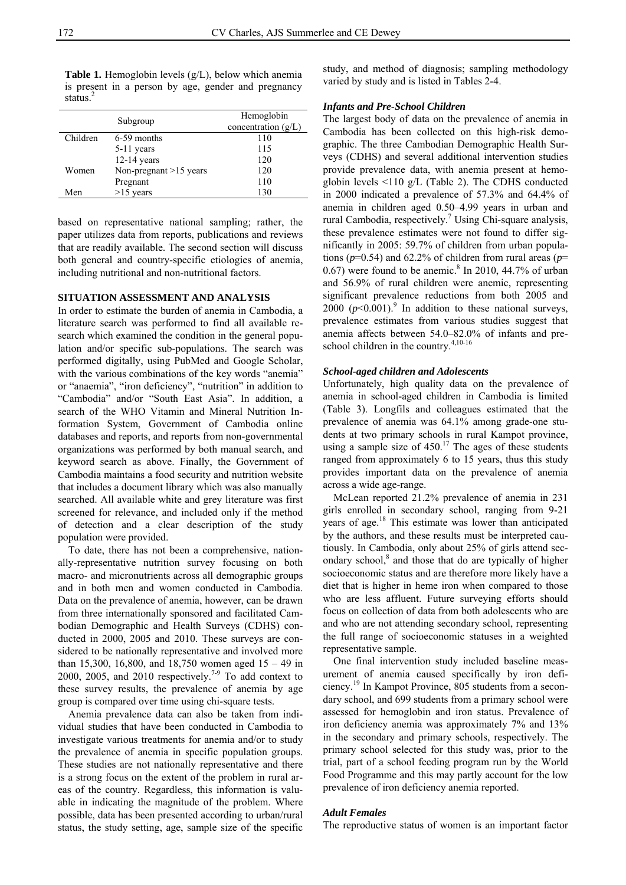Table 1. Hemoglobin levels (g/L), below which anemia is present in a person by age, gender and pregnancy status.<sup>2</sup>

|          | Subgroup                 | Hemoglobin<br>concentration $(g/L)$ |
|----------|--------------------------|-------------------------------------|
| Children | 6-59 months              | 110                                 |
|          | $5-11$ years             | 115                                 |
|          | $12-14$ years            | 120                                 |
| Women    | Non-pregnant $>15$ years | 120                                 |
|          | Pregnant                 | 110                                 |
| Men      | $>15$ years              | 130                                 |
|          |                          |                                     |

based on representative national sampling; rather, the paper utilizes data from reports, publications and reviews that are readily available. The second section will discuss both general and country-specific etiologies of anemia, including nutritional and non-nutritional factors.

# **SITUATION ASSESSMENT AND ANALYSIS**

In order to estimate the burden of anemia in Cambodia, a literature search was performed to find all available research which examined the condition in the general population and/or specific sub-populations. The search was performed digitally, using PubMed and Google Scholar, with the various combinations of the key words "anemia" or "anaemia", "iron deficiency", "nutrition" in addition to "Cambodia" and/or "South East Asia". In addition, a search of the WHO Vitamin and Mineral Nutrition Information System, Government of Cambodia online databases and reports, and reports from non-governmental organizations was performed by both manual search, and keyword search as above. Finally, the Government of Cambodia maintains a food security and nutrition website that includes a document library which was also manually searched. All available white and grey literature was first screened for relevance, and included only if the method of detection and a clear description of the study population were provided.

To date, there has not been a comprehensive, nationally-representative nutrition survey focusing on both macro- and micronutrients across all demographic groups and in both men and women conducted in Cambodia. Data on the prevalence of anemia, however, can be drawn from three internationally sponsored and facilitated Cambodian Demographic and Health Surveys (CDHS) conducted in 2000, 2005 and 2010. These surveys are considered to be nationally representative and involved more than 15,300, 16,800, and 18,750 women aged  $15 - 49$  in 2000, 2005, and 2010 respectively.<sup>7-9</sup> To add context to these survey results, the prevalence of anemia by age group is compared over time using chi-square tests.

Anemia prevalence data can also be taken from individual studies that have been conducted in Cambodia to investigate various treatments for anemia and/or to study the prevalence of anemia in specific population groups. These studies are not nationally representative and there is a strong focus on the extent of the problem in rural areas of the country. Regardless, this information is valuable in indicating the magnitude of the problem. Where possible, data has been presented according to urban/rural status, the study setting, age, sample size of the specific study, and method of diagnosis; sampling methodology varied by study and is listed in Tables 2-4.

#### *Infants and Pre-School Children*

The largest body of data on the prevalence of anemia in Cambodia has been collected on this high-risk demographic. The three Cambodian Demographic Health Surveys (CDHS) and several additional intervention studies provide prevalence data, with anemia present at hemoglobin levels <110 g/L (Table 2). The CDHS conducted in 2000 indicated a prevalence of 57.3% and 64.4% of anemia in children aged 0.50–4.99 years in urban and rural Cambodia, respectively.<sup>7</sup> Using Chi-square analysis, these prevalence estimates were not found to differ significantly in 2005: 59.7% of children from urban populations (*p*=0.54) and 62.2% of children from rural areas (*p*=  $0.67$ ) were found to be anemic.<sup>8</sup> In 2010, 44.7% of urban and 56.9% of rural children were anemic, representing significant prevalence reductions from both 2005 and 2000  $(p<0.001)$ .<sup>9</sup> In addition to these national surveys, prevalence estimates from various studies suggest that anemia affects between 54.0–82.0% of infants and preschool children in the country.<sup>4,10-16</sup>

# *School-aged children and Adolescents*

Unfortunately, high quality data on the prevalence of anemia in school-aged children in Cambodia is limited (Table 3). Longfils and colleagues estimated that the prevalence of anemia was 64.1% among grade-one students at two primary schools in rural Kampot province, using a sample size of  $450<sup>17</sup>$  The ages of these students ranged from approximately 6 to 15 years, thus this study provides important data on the prevalence of anemia across a wide age-range.

McLean reported 21.2% prevalence of anemia in 231 girls enrolled in secondary school, ranging from 9-21 years of age.<sup>18</sup> This estimate was lower than anticipated by the authors, and these results must be interpreted cautiously. In Cambodia, only about 25% of girls attend secondary school,<sup>8</sup> and those that do are typically of higher socioeconomic status and are therefore more likely have a diet that is higher in heme iron when compared to those who are less affluent. Future surveying efforts should focus on collection of data from both adolescents who are and who are not attending secondary school, representing the full range of socioeconomic statuses in a weighted representative sample.

One final intervention study included baseline measurement of anemia caused specifically by iron deficiency.19 In Kampot Province, 805 students from a secondary school, and 699 students from a primary school were assessed for hemoglobin and iron status. Prevalence of iron deficiency anemia was approximately 7% and 13% in the secondary and primary schools, respectively. The primary school selected for this study was, prior to the trial, part of a school feeding program run by the World Food Programme and this may partly account for the low prevalence of iron deficiency anemia reported.

#### *Adult Females*

The reproductive status of women is an important factor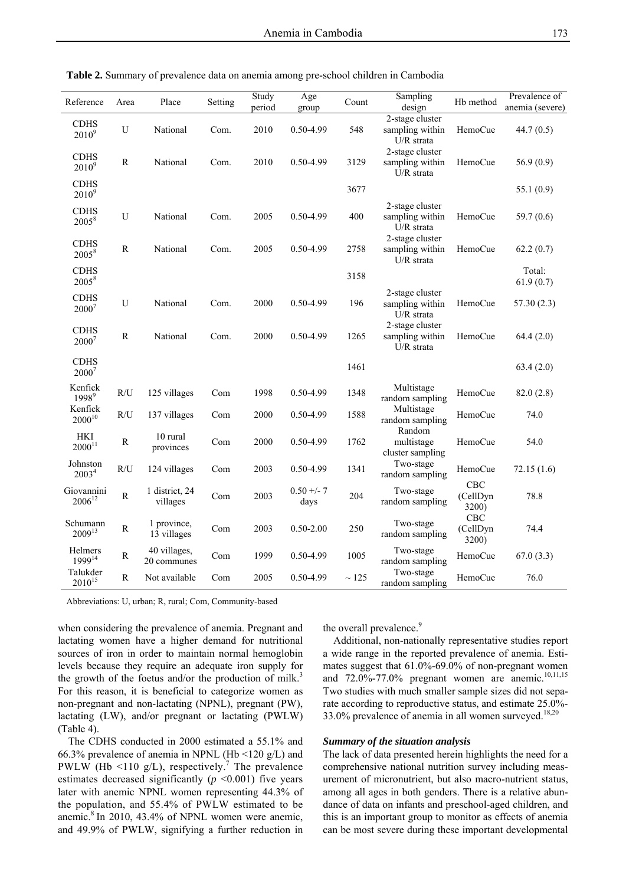| Reference                     | Area         | Place                       | Setting | Study<br>period | Age<br>group         | $\mbox{Count}$ | Sampling<br>design                                 | Hb method                       | Prevalence of<br>anemia (severe) |
|-------------------------------|--------------|-----------------------------|---------|-----------------|----------------------|----------------|----------------------------------------------------|---------------------------------|----------------------------------|
| <b>CDHS</b><br>$2010^{9}$     | U            | National                    | Com.    | 2010            | 0.50-4.99            | 548            | 2-stage cluster<br>sampling within<br>U/R strata   | HemoCue                         | 44.7(0.5)                        |
| <b>CDHS</b><br>$2010^9$       | ${\bf R}$    | National                    | Com.    | 2010            | 0.50-4.99            | 3129           | 2-stage cluster<br>sampling within<br>$U/R$ strata | HemoCue                         | 56.9(0.9)                        |
| <b>CDHS</b><br>$2010^{9}$     |              |                             |         |                 |                      | 3677           |                                                    |                                 | 55.1 (0.9)                       |
| <b>CDHS</b><br>$2005^8$       | U            | National                    | Com.    | 2005            | 0.50-4.99            | 400            | 2-stage cluster<br>sampling within<br>U/R strata   | HemoCue                         | 59.7 $(0.6)$                     |
| <b>CDHS</b><br>20058          | $\mathbb{R}$ | National                    | Com.    | 2005            | 0.50-4.99            | 2758           | 2-stage cluster<br>sampling within<br>U/R strata   | HemoCue                         | 62.2(0.7)                        |
| <b>CDHS</b><br>$2005^8$       |              |                             |         |                 |                      | 3158           |                                                    |                                 | Total:<br>61.9(0.7)              |
| <b>CDHS</b><br>$2000^7$       | U            | National                    | Com.    | 2000            | 0.50-4.99            | 196            | 2-stage cluster<br>sampling within<br>U/R strata   | HemoCue                         | 57.30(2.3)                       |
| <b>CDHS</b><br>$2000^7$       | ${\bf R}$    | National                    | Com.    | 2000            | 0.50-4.99            | 1265           | 2-stage cluster<br>sampling within<br>U/R strata   | HemoCue                         | 64.4(2.0)                        |
| <b>CDHS</b><br>$2000^7$       |              |                             |         |                 |                      | 1461           |                                                    |                                 | 63.4(2.0)                        |
| Kenfick<br>1998 <sup>9</sup>  | R/U          | 125 villages                | Com     | 1998            | 0.50-4.99            | 1348           | Multistage<br>random sampling                      | HemoCue                         | 82.0(2.8)                        |
| Kenfick<br>$2000^{10}$        | R/U          | 137 villages                | Com     | 2000            | 0.50-4.99            | 1588           | Multistage<br>random sampling                      | HemoCue                         | 74.0                             |
| HKI<br>$2000^{11}$            | ${\bf R}$    | 10 rural<br>provinces       | Com     | 2000            | 0.50-4.99            | 1762           | Random<br>multistage<br>cluster sampling           | HemoCue                         | 54.0                             |
| Johnston<br>2003 <sup>4</sup> | R/U          | 124 villages                | Com     | 2003            | 0.50-4.99            | 1341           | Two-stage<br>random sampling                       | HemoCue                         | 72.15(1.6)                       |
| Giovannini<br>$2006^{12}$     | ${\bf R}$    | 1 district, 24<br>villages  | Com     | 2003            | $0.50 + - 7$<br>days | 204            | Two-stage<br>random sampling                       | CBC<br>(CellDyn<br>3200)        | 78.8                             |
| Schumann<br>$2009^{13}$       | ${\bf R}$    | 1 province,<br>13 villages  | Com     | 2003            | $0.50 - 2.00$        | 250            | Two-stage<br>random sampling                       | <b>CBC</b><br>(CellDyn<br>3200) | 74.4                             |
| Helmers<br>1999 <sup>14</sup> | R            | 40 villages,<br>20 communes | Com     | 1999            | 0.50-4.99            | 1005           | Two-stage<br>random sampling                       | HemoCue                         | 67.0(3.3)                        |
| Talukder<br>$2010^{15}$       | ${\bf R}$    | Not available               | Com     | 2005            | 0.50-4.99            | $\sim 125$     | Two-stage<br>random sampling                       | HemoCue                         | 76.0                             |

**Table 2.** Summary of prevalence data on anemia among pre-school children in Cambodia

Abbreviations: U, urban; R, rural; Com, Community-based

when considering the prevalence of anemia. Pregnant and lactating women have a higher demand for nutritional sources of iron in order to maintain normal hemoglobin levels because they require an adequate iron supply for the growth of the foetus and/or the production of milk.<sup>3</sup> For this reason, it is beneficial to categorize women as non-pregnant and non-lactating (NPNL), pregnant (PW), lactating (LW), and/or pregnant or lactating (PWLW) (Table 4).

The CDHS conducted in 2000 estimated a 55.1% and 66.3% prevalence of anemia in NPNL (Hb <120 g/L) and PWLW (Hb  $\leq$ 110 g/L), respectively.<sup>7</sup> The prevalence estimates decreased significantly  $(p \le 0.001)$  five years later with anemic NPNL women representing 44.3% of the population, and 55.4% of PWLW estimated to be anemic. $8 \text{ In } 2010, 43.4\%$  of NPNL women were anemic. and 49.9% of PWLW, signifying a further reduction in the overall prevalence.<sup>9</sup>

Additional, non-nationally representative studies report a wide range in the reported prevalence of anemia. Estimates suggest that 61.0%-69.0% of non-pregnant women and  $72.0\%$ -77.0% pregnant women are anemic.<sup>10,11,15</sup> Two studies with much smaller sample sizes did not separate according to reproductive status, and estimate 25.0%- 33.0% prevalence of anemia in all women surveyed. $18,20$ 

# *Summary of the situation analysis*

The lack of data presented herein highlights the need for a comprehensive national nutrition survey including measurement of micronutrient, but also macro-nutrient status, among all ages in both genders. There is a relative abundance of data on infants and preschool-aged children, and this is an important group to monitor as effects of anemia can be most severe during these important developmental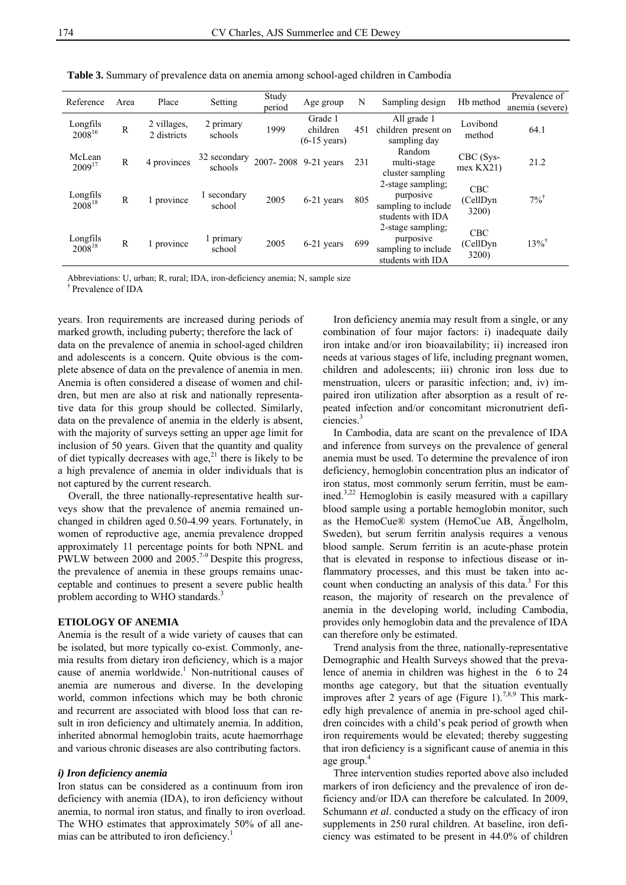| Reference               | Area         | Place                      | Setting                 | Study<br>period | Age group                                     | N   | Sampling design                                                            | Hb method                               | Prevalence of<br>anemia (severe) |
|-------------------------|--------------|----------------------------|-------------------------|-----------------|-----------------------------------------------|-----|----------------------------------------------------------------------------|-----------------------------------------|----------------------------------|
| Longfils<br>$2008^{16}$ | $\mathbb{R}$ | 2 villages,<br>2 districts | 2 primary<br>schools    | 1999            | Grade 1<br>children<br>$(6-15 \text{ years})$ | 451 | All grade 1<br>children present on<br>sampling day                         | Lovibond<br>method                      | 64.1                             |
| McLean<br>$2009^{17}$   | R            | 4 provinces                | 32 secondary<br>schools |                 | 2007-2008 9-21 years                          | 231 | Random<br>multi-stage<br>cluster sampling                                  | $CBC$ (Sys-<br>$mex$ KX21)              | 21.2                             |
| Longfils<br>$2008^{18}$ | R            | 1 province                 | 1 secondary<br>school   | 2005            | 6-21 years                                    | 805 | 2-stage sampling:<br>purposive<br>sampling to include<br>students with IDA | <b>CBC</b><br>(CellDyn)<br>3200)        | $7\%$ <sup>†</sup>               |
| Longfils<br>$2008^{18}$ | R            | 1 province                 | primary<br>school       | 2005            | 6-21 years                                    | 699 | 2-stage sampling;<br>purposive<br>sampling to include<br>students with IDA | <b>CBC</b><br>(CellDyn)<br><b>3200)</b> | $13\%$ <sup>†</sup>              |

**Table 3.** Summary of prevalence data on anemia among school-aged children in Cambodia

Abbreviations: U, urban; R, rural; IDA, iron-deficiency anemia; N, sample size

† Prevalence of IDA

years. Iron requirements are increased during periods of marked growth, including puberty; therefore the lack of data on the prevalence of anemia in school-aged children and adolescents is a concern. Quite obvious is the complete absence of data on the prevalence of anemia in men. Anemia is often considered a disease of women and children, but men are also at risk and nationally representative data for this group should be collected. Similarly, data on the prevalence of anemia in the elderly is absent, with the majority of surveys setting an upper age limit for inclusion of 50 years. Given that the quantity and quality of diet typically decreases with age, $^{21}$  there is likely to be a high prevalence of anemia in older individuals that is not captured by the current research.

Overall, the three nationally-representative health surveys show that the prevalence of anemia remained unchanged in children aged 0.50-4.99 years. Fortunately, in women of reproductive age, anemia prevalence dropped approximately 11 percentage points for both NPNL and PWLW between  $2000$  and  $2005$ .<sup>7-9</sup> Despite this progress, the prevalence of anemia in these groups remains unacceptable and continues to present a severe public health problem according to WHO standards.<sup>3</sup>

## **ETIOLOGY OF ANEMIA**

Anemia is the result of a wide variety of causes that can be isolated, but more typically co-exist. Commonly, anemia results from dietary iron deficiency, which is a major cause of anemia worldwide.<sup>1</sup> Non-nutritional causes of anemia are numerous and diverse. In the developing world, common infections which may be both chronic and recurrent are associated with blood loss that can result in iron deficiency and ultimately anemia. In addition, inherited abnormal hemoglobin traits, acute haemorrhage and various chronic diseases are also contributing factors.

# *i) Iron deficiency anemia*

Iron status can be considered as a continuum from iron deficiency with anemia (IDA), to iron deficiency without anemia, to normal iron status, and finally to iron overload. The WHO estimates that approximately 50% of all anemias can be attributed to iron deficiency.<sup>1</sup>

Iron deficiency anemia may result from a single, or any combination of four major factors: i) inadequate daily iron intake and/or iron bioavailability; ii) increased iron needs at various stages of life, including pregnant women, children and adolescents; iii) chronic iron loss due to menstruation, ulcers or parasitic infection; and, iv) impaired iron utilization after absorption as a result of repeated infection and/or concomitant micronutrient deficiencies.<sup>3</sup>

In Cambodia, data are scant on the prevalence of IDA and inference from surveys on the prevalence of general anemia must be used. To determine the prevalence of iron deficiency, hemoglobin concentration plus an indicator of iron status, most commonly serum ferritin, must be eamined.<sup>3,22</sup> Hemoglobin is easily measured with a capillary blood sample using a portable hemoglobin monitor, such as the HemoCue® system (HemoCue AB, Ängelholm, Sweden), but serum ferritin analysis requires a venous blood sample. Serum ferritin is an acute-phase protein that is elevated in response to infectious disease or inflammatory processes, and this must be taken into account when conducting an analysis of this data.<sup>3</sup> For this reason, the majority of research on the prevalence of anemia in the developing world, including Cambodia, provides only hemoglobin data and the prevalence of IDA can therefore only be estimated.

Trend analysis from the three, nationally-representative Demographic and Health Surveys showed that the prevalence of anemia in children was highest in the 6 to 24 months age category, but that the situation eventually improves after 2 years of age (Figure 1).<sup>7,8,9</sup> This markedly high prevalence of anemia in pre-school aged children coincides with a child's peak period of growth when iron requirements would be elevated; thereby suggesting that iron deficiency is a significant cause of anemia in this age group.

Three intervention studies reported above also included markers of iron deficiency and the prevalence of iron deficiency and/or IDA can therefore be calculated. In 2009, Schumann *et al*. conducted a study on the efficacy of iron supplements in 250 rural children. At baseline, iron deficiency was estimated to be present in 44.0% of children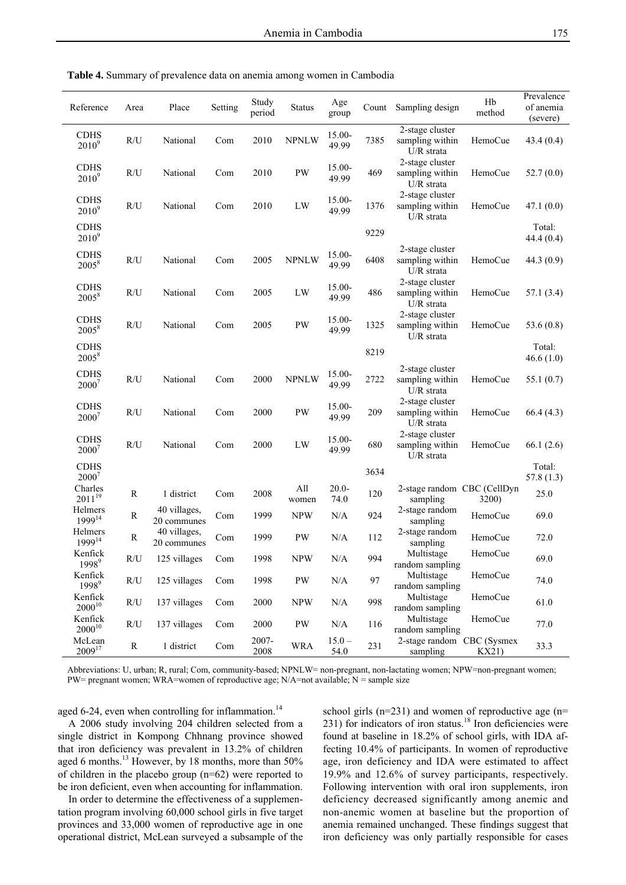| Reference                     | Area                    | Place                       | Setting | Study<br>period | <b>Status</b>          | Age<br>group       | Count | Sampling design                                  | Hb<br>method | Prevalence<br>of anemia<br>(severe) |
|-------------------------------|-------------------------|-----------------------------|---------|-----------------|------------------------|--------------------|-------|--------------------------------------------------|--------------|-------------------------------------|
| <b>CDHS</b><br>$2010^9$       | R/U                     | National                    | Com     | 2010            | <b>NPNLW</b>           | $15.00 -$<br>49.99 | 7385  | 2-stage cluster<br>sampling within<br>U/R strata | HemoCue      | 43.4(0.4)                           |
| <b>CDHS</b><br>$2010^9$       | R/U                     | National                    | Com     | 2010            | $\mathbf{P}\mathbf{W}$ | $15.00 -$<br>49.99 | 469   | 2-stage cluster<br>sampling within<br>U/R strata | HemoCue      | 52.7(0.0)                           |
| <b>CDHS</b><br>$2010^9$       | R/U                     | National                    | Com     | 2010            | ${\rm LW}$             | $15.00 -$<br>49.99 | 1376  | 2-stage cluster<br>sampling within<br>U/R strata | HemoCue      | 47.1(0.0)                           |
| <b>CDHS</b><br>$2010^9$       |                         |                             |         |                 |                        |                    | 9229  |                                                  |              | Total:<br>44.4(0.4)                 |
| <b>CDHS</b><br>$2005^8$       | R/U                     | National                    | Com     | 2005            | <b>NPNLW</b>           | $15.00 -$<br>49.99 | 6408  | 2-stage cluster<br>sampling within<br>U/R strata | HemoCue      | 44.3(0.9)                           |
| <b>CDHS</b><br>$2005^8$       | R/U                     | National                    | Com     | 2005            | LW                     | $15.00 -$<br>49.99 | 486   | 2-stage cluster<br>sampling within<br>U/R strata | HemoCue      | 57.1(3.4)                           |
| <b>CDHS</b><br>20058          | R/U                     | National                    | Com     | 2005            | $\mathrm{PW}$          | 15.00-<br>49.99    | 1325  | 2-stage cluster<br>sampling within<br>U/R strata | HemoCue      | 53.6 $(0.8)$                        |
| <b>CDHS</b><br>$2005^{8}$     |                         |                             |         |                 |                        |                    | 8219  |                                                  |              | Total:<br>46.6(1.0)                 |
| <b>CDHS</b><br>20007          | R/U                     | National                    | Com     | 2000            | <b>NPNLW</b>           | $15.00 -$<br>49.99 | 2722  | 2-stage cluster<br>sampling within<br>U/R strata | HemoCue      | 55.1(0.7)                           |
| <b>CDHS</b><br>$2000^7$       | R/U                     | National                    | Com     | 2000            | PW                     | 15.00-<br>49.99    | 209   | 2-stage cluster<br>sampling within<br>U/R strata | HemoCue      | 66.4(4.3)                           |
| <b>CDHS</b><br>$2000^7$       | R/U                     | National                    | Com     | 2000            | ${\rm LW}$             | $15.00 -$<br>49.99 | 680   | 2-stage cluster<br>sampling within<br>U/R strata | HemoCue      | 66.1(2.6)                           |
| <b>CDHS</b><br>$2000^7$       |                         |                             |         |                 |                        |                    | 3634  |                                                  |              | Total:<br>57.8(1.3)                 |
| Charles<br>$2011^{19}$        | R                       | 1 district                  | Com     | 2008            | All<br>women           | $20.0 -$<br>74.0   | 120   | 2-stage random CBC (CellDyn<br>sampling          | 3200)        | 25.0                                |
| Helmers<br>1999 <sup>14</sup> | R                       | 40 villages,<br>20 communes | Com     | 1999            | <b>NPW</b>             | N/A                | 924   | 2-stage random<br>sampling                       | HemoCue      | 69.0                                |
| Helmers<br>1999 <sup>14</sup> | ${\mathbb R}$           | 40 villages,<br>20 communes | Com     | 1999            | PW                     | N/A                | 112   | 2-stage random<br>sampling                       | HemoCue      | 72.0                                |
| Kenfick<br>1998 <sup>9</sup>  | R/U                     | 125 villages                | Com     | 1998            | <b>NPW</b>             | N/A                | 994   | Multistage<br>random sampling                    | HemoCue      | 69.0                                |
| Kenfick<br>1998 <sup>9</sup>  | R/U                     | 125 villages                | Com     | 1998            | $\mathbf{P}\mathbf{W}$ | $\rm N/A$          | 97    | Multistage<br>random sampling                    | HemoCue      | 74.0                                |
| Kenfick<br>$2000^{10}$        | $\mathbb{R}/\mathbb{U}$ | 137 villages                | Com     | 2000            | <b>NPW</b>             | $\rm N/A$          | 998   | Multistage<br>random sampling                    | HemoCue      | 61.0                                |
| Kenfick<br>$2000^{10}$        | R/U                     | 137 villages                | Com     | 2000            | $\mathbf{P}\mathbf{W}$ | N/A                | 116   | Multistage<br>random sampling                    | HemoCue      | 77.0                                |
| McLean<br>200917              | $\mathbf R$             | 1 district                  | Com     | 2007-<br>2008   | <b>WRA</b>             | $15.0 -$<br>54.0   | 231   | 2-stage random CBC (Sysmex<br>sampling           | KX21)        | 33.3                                |

**Table 4.** Summary of prevalence data on anemia among women in Cambodia

Abbreviations: U, urban; R, rural; Com, community-based; NPNLW= non-pregnant, non-lactating women; NPW=non-pregnant women; PW= pregnant women; WRA=women of reproductive age;  $N/A$ =not available;  $N =$  sample size

aged 6-24, even when controlling for inflammation.<sup>14</sup>

A 2006 study involving 204 children selected from a single district in Kompong Chhnang province showed that iron deficiency was prevalent in 13.2% of children aged 6 months.<sup>13</sup> However, by 18 months, more than 50% of children in the placebo group (n=62) were reported to be iron deficient, even when accounting for inflammation.

In order to determine the effectiveness of a supplementation program involving 60,000 school girls in five target provinces and 33,000 women of reproductive age in one operational district, McLean surveyed a subsample of the

school girls (n=231) and women of reproductive age (n=  $231$ ) for indicators of iron status.<sup>18</sup> Iron deficiencies were found at baseline in 18.2% of school girls, with IDA affecting 10.4% of participants. In women of reproductive age, iron deficiency and IDA were estimated to affect 19.9% and 12.6% of survey participants, respectively. Following intervention with oral iron supplements, iron deficiency decreased significantly among anemic and non-anemic women at baseline but the proportion of anemia remained unchanged. These findings suggest that iron deficiency was only partially responsible for cases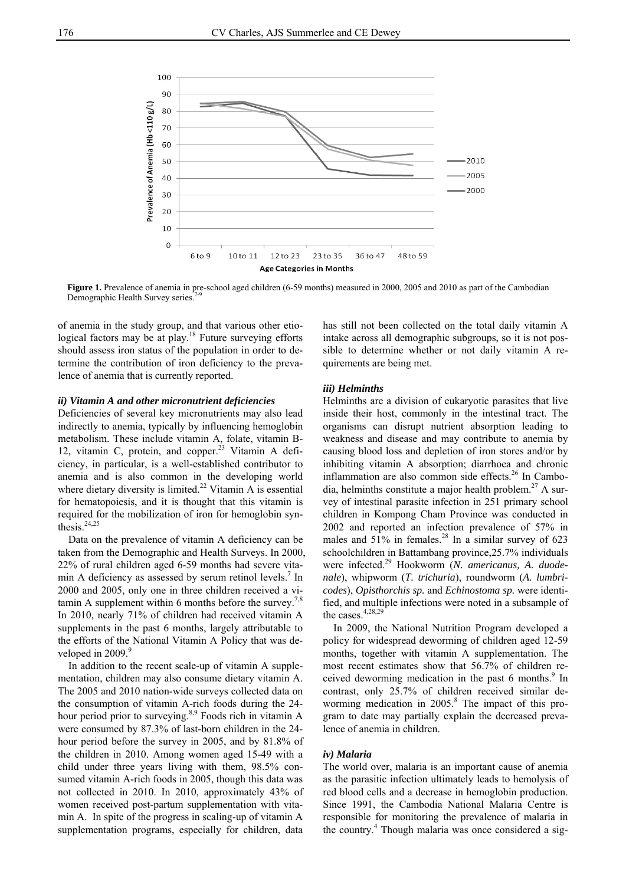

Figure 1. Prevalence of anemia in pre-school aged children (6-59 months) measured in 2000, 2005 and 2010 as part of the Cambodian Demographic Health Survey series.

of anemia in the study group, and that various other etiological factors may be at play.<sup>18</sup> Future surveying efforts should assess iron status of the population in order to determine the contribution of iron deficiency to the prevalence of anemia that is currently reported.

### *ii) Vitamin A and other micronutrient deficiencies*

Deficiencies of several key micronutrients may also lead indirectly to anemia, typically by influencing hemoglobin metabolism. These include vitamin A, folate, vitamin B-12, vitamin C, protein, and copper.<sup>23</sup> Vitamin A deficiency, in particular, is a well-established contributor to anemia and is also common in the developing world where dietary diversity is limited.<sup>22</sup> Vitamin A is essential for hematopoiesis, and it is thought that this vitamin is required for the mobilization of iron for hemoglobin synthesis. $24,25$ 

Data on the prevalence of vitamin A deficiency can be taken from the Demographic and Health Surveys. In 2000, 22% of rural children aged 6-59 months had severe vitamin A deficiency as assessed by serum retinol levels.<sup>7</sup> In 2000 and 2005, only one in three children received a vitamin A supplement within 6 months before the survey.<sup>7,8</sup> In 2010, nearly 71% of children had received vitamin A supplements in the past 6 months, largely attributable to the efforts of the National Vitamin A Policy that was developed in  $2009$ . $9$ 

In addition to the recent scale-up of vitamin A supplementation, children may also consume dietary vitamin A. The 2005 and 2010 nation-wide surveys collected data on the consumption of vitamin A-rich foods during the 24 hour period prior to surveying.<sup>8,9</sup> Foods rich in vitamin A were consumed by 87.3% of last-born children in the 24 hour period before the survey in 2005, and by 81.8% of the children in 2010. Among women aged 15-49 with a child under three years living with them, 98.5% consumed vitamin A-rich foods in 2005, though this data was not collected in 2010. In 2010, approximately 43% of women received post-partum supplementation with vitamin A. In spite of the progress in scaling-up of vitamin A supplementation programs, especially for children, data

has still not been collected on the total daily vitamin A intake across all demographic subgroups, so it is not possible to determine whether or not daily vitamin A requirements are being met.

### *iii) Helminths*

Helminths are a division of eukaryotic parasites that live inside their host, commonly in the intestinal tract. The organisms can disrupt nutrient absorption leading to weakness and disease and may contribute to anemia by causing blood loss and depletion of iron stores and/or by inhibiting vitamin A absorption; diarrhoea and chronic inflammation are also common side effects.<sup>26</sup> In Cambodia, helminths constitute a major health problem.<sup>27</sup> A survey of intestinal parasite infection in 251 primary school children in Kompong Cham Province was conducted in 2002 and reported an infection prevalence of 57% in males and  $51\%$  in females.<sup>28</sup> In a similar survey of 623 schoolchildren in Battambang province,25.7% individuals were infected.29 Hookworm (*N. americanus, A. duodenale*), whipworm (*T. trichuria*), roundworm (*A. lumbricodes*), *Opisthorchis sp.* and *Echinostoma sp.* were identified, and multiple infections were noted in a subsample of the cases.<sup>4,28,29</sup>

In 2009, the National Nutrition Program developed a policy for widespread deworming of children aged 12-59 months, together with vitamin A supplementation. The most recent estimates show that 56.7% of children received deworming medication in the past 6 months.<sup>9</sup> In contrast, only 25.7% of children received similar deworming medication in 2005.<sup>8</sup> The impact of this program to date may partially explain the decreased prevalence of anemia in children.

#### *iv) Malaria*

The world over, malaria is an important cause of anemia as the parasitic infection ultimately leads to hemolysis of red blood cells and a decrease in hemoglobin production. Since 1991, the Cambodia National Malaria Centre is responsible for monitoring the prevalence of malaria in the country.<sup>4</sup> Though malaria was once considered a sig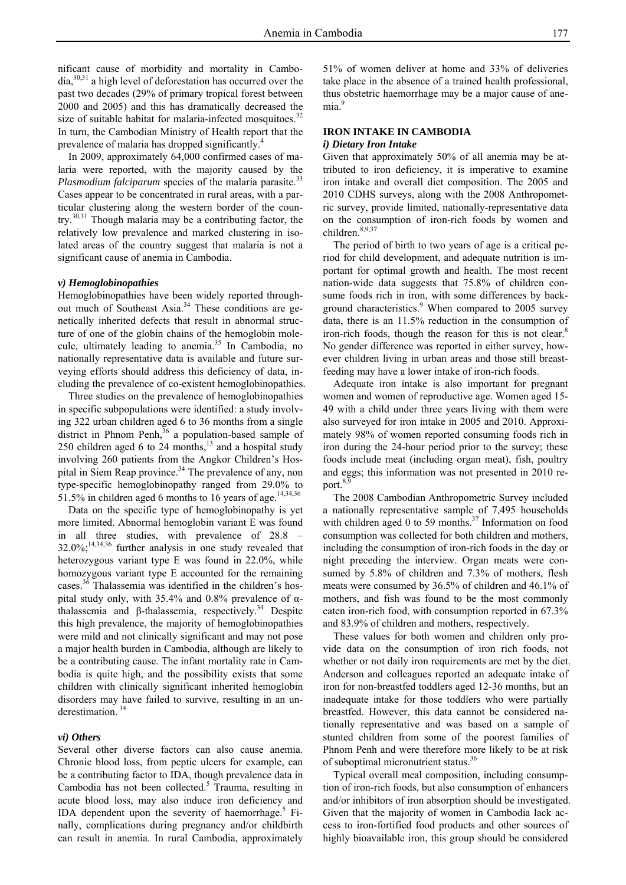nificant cause of morbidity and mortality in Cambo $dia$ ,  $30,31$  a high level of deforestation has occurred over the past two decades (29% of primary tropical forest between 2000 and 2005) and this has dramatically decreased the size of suitable habitat for malaria-infected mosquitoes. $32$ In turn, the Cambodian Ministry of Health report that the prevalence of malaria has dropped significantly.<sup>4</sup>

In 2009, approximately 64,000 confirmed cases of malaria were reported, with the majority caused by the *Plasmodium falciparum* species of the malaria parasite.<sup>33</sup> Cases appear to be concentrated in rural areas, with a particular clustering along the western border of the country.30,31 Though malaria may be a contributing factor, the relatively low prevalence and marked clustering in isolated areas of the country suggest that malaria is not a significant cause of anemia in Cambodia.

# *v) Hemoglobinopathies*

Hemoglobinopathies have been widely reported throughout much of Southeast Asia.<sup>34</sup> These conditions are genetically inherited defects that result in abnormal structure of one of the globin chains of the hemoglobin molecule, ultimately leading to anemia. $35$  In Cambodia, no nationally representative data is available and future surveying efforts should address this deficiency of data, including the prevalence of co-existent hemoglobinopathies.

Three studies on the prevalence of hemoglobinopathies in specific subpopulations were identified: a study involving 322 urban children aged 6 to 36 months from a single district in Phnom Penh, $36$  a population-based sample of 250 children aged 6 to 24 months, $^{13}$  and a hospital study involving 260 patients from the Angkor Children's Hospital in Siem Reap province.<sup>34</sup> The prevalence of any, non type-specific hemoglobinopathy ranged from 29.0% to 51.5% in children aged 6 months to 16 years of age.<sup>14,34,36</sup>

Data on the specific type of hemoglobinopathy is yet more limited. Abnormal hemoglobin variant E was found in all three studies, with prevalence of 28.8 – 32.0%;14,34,36 further analysis in one study revealed that heterozygous variant type E was found in 22.0%, while homozygous variant type E accounted for the remaining cases.36 Thalassemia was identified in the children's hospital study only, with  $35.4\%$  and  $0.8\%$  prevalence of  $\alpha$ thalassemia and β-thalassemia, respectively.<sup>34</sup> Despite this high prevalence, the majority of hemoglobinopathies were mild and not clinically significant and may not pose a major health burden in Cambodia, although are likely to be a contributing cause. The infant mortality rate in Cambodia is quite high, and the possibility exists that some children with clinically significant inherited hemoglobin disorders may have failed to survive, resulting in an underestimation.<sup>34</sup>

# *vi) Others*

Several other diverse factors can also cause anemia. Chronic blood loss, from peptic ulcers for example, can be a contributing factor to IDA, though prevalence data in Cambodia has not been collected.<sup>5</sup> Trauma, resulting in acute blood loss, may also induce iron deficiency and IDA dependent upon the severity of haemorrhage.<sup>5</sup> Finally, complications during pregnancy and/or childbirth can result in anemia. In rural Cambodia, approximately

51% of women deliver at home and 33% of deliveries take place in the absence of a trained health professional, thus obstetric haemorrhage may be a major cause of anemia<sup>9</sup>

# **IRON INTAKE IN CAMBODIA**

## *i) Dietary Iron Intake*

Given that approximately 50% of all anemia may be attributed to iron deficiency, it is imperative to examine iron intake and overall diet composition. The 2005 and 2010 CDHS surveys, along with the 2008 Anthropometric survey, provide limited, nationally-representative data on the consumption of iron-rich foods by women and children.<sup>8,9,37</sup>

The period of birth to two years of age is a critical period for child development, and adequate nutrition is important for optimal growth and health. The most recent nation-wide data suggests that 75.8% of children consume foods rich in iron, with some differences by background characteristics.<sup>9</sup> When compared to 2005 survey data, there is an 11.5% reduction in the consumption of iron-rich foods, though the reason for this is not clear.<sup>8</sup> No gender difference was reported in either survey, however children living in urban areas and those still breastfeeding may have a lower intake of iron-rich foods.

Adequate iron intake is also important for pregnant women and women of reproductive age. Women aged 15- 49 with a child under three years living with them were also surveyed for iron intake in 2005 and 2010. Approximately 98% of women reported consuming foods rich in iron during the 24-hour period prior to the survey; these foods include meat (including organ meat), fish, poultry and eggs; this information was not presented in 2010 report.<sup>8,9</sup>

The 2008 Cambodian Anthropometric Survey included a nationally representative sample of 7,495 households with children aged 0 to 59 months. $37$  Information on food consumption was collected for both children and mothers, including the consumption of iron-rich foods in the day or night preceding the interview. Organ meats were consumed by 5.8% of children and 7.3% of mothers, flesh meats were consumed by 36.5% of children and 46.1% of mothers, and fish was found to be the most commonly eaten iron-rich food, with consumption reported in 67.3% and 83.9% of children and mothers, respectively.

These values for both women and children only provide data on the consumption of iron rich foods, not whether or not daily iron requirements are met by the diet. Anderson and colleagues reported an adequate intake of iron for non-breastfed toddlers aged 12-36 months, but an inadequate intake for those toddlers who were partially breastfed. However, this data cannot be considered nationally representative and was based on a sample of stunted children from some of the poorest families of Phnom Penh and were therefore more likely to be at risk of suboptimal micronutrient status.<sup>36</sup>

Typical overall meal composition, including consumption of iron-rich foods, but also consumption of enhancers and/or inhibitors of iron absorption should be investigated. Given that the majority of women in Cambodia lack access to iron-fortified food products and other sources of highly bioavailable iron, this group should be considered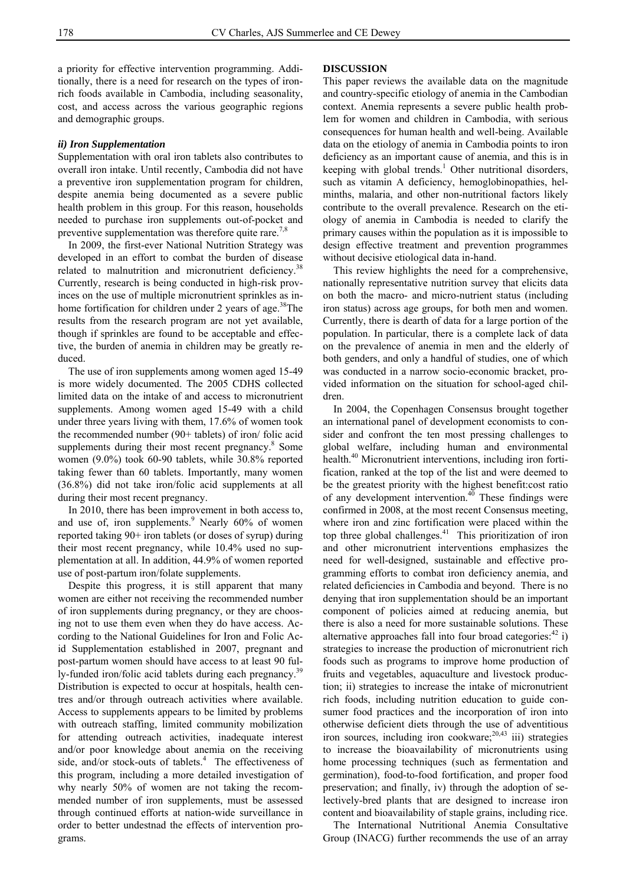a priority for effective intervention programming. Additionally, there is a need for research on the types of ironrich foods available in Cambodia, including seasonality, cost, and access across the various geographic regions and demographic groups.

# *ii) Iron Supplementation*

Supplementation with oral iron tablets also contributes to overall iron intake. Until recently, Cambodia did not have a preventive iron supplementation program for children, despite anemia being documented as a severe public health problem in this group. For this reason, households needed to purchase iron supplements out-of-pocket and preventive supplementation was therefore quite rare.<sup> $\frac{7}{8}$ </sup>

In 2009, the first-ever National Nutrition Strategy was developed in an effort to combat the burden of disease related to malnutrition and micronutrient deficiency.<sup>38</sup> Currently, research is being conducted in high-risk provinces on the use of multiple micronutrient sprinkles as inhome fortification for children under 2 years of age.<sup>38</sup>The results from the research program are not yet available, though if sprinkles are found to be acceptable and effective, the burden of anemia in children may be greatly reduced.

The use of iron supplements among women aged 15-49 is more widely documented. The 2005 CDHS collected limited data on the intake of and access to micronutrient supplements. Among women aged 15-49 with a child under three years living with them, 17.6% of women took the recommended number (90+ tablets) of iron/ folic acid supplements during their most recent pregnancy.<sup>8</sup> Some women (9.0%) took 60-90 tablets, while 30.8% reported taking fewer than 60 tablets. Importantly, many women (36.8%) did not take iron/folic acid supplements at all during their most recent pregnancy.

In 2010, there has been improvement in both access to, and use of, iron supplements. $9$  Nearly 60% of women reported taking 90+ iron tablets (or doses of syrup) during their most recent pregnancy, while 10.4% used no supplementation at all. In addition, 44.9% of women reported use of post-partum iron/folate supplements.

Despite this progress, it is still apparent that many women are either not receiving the recommended number of iron supplements during pregnancy, or they are choosing not to use them even when they do have access. According to the National Guidelines for Iron and Folic Acid Supplementation established in 2007, pregnant and post-partum women should have access to at least 90 fully-funded iron/folic acid tablets during each pregnancy.<sup>39</sup> Distribution is expected to occur at hospitals, health centres and/or through outreach activities where available. Access to supplements appears to be limited by problems with outreach staffing, limited community mobilization for attending outreach activities, inadequate interest and/or poor knowledge about anemia on the receiving side, and/or stock-outs of tablets.<sup>4</sup> The effectiveness of this program, including a more detailed investigation of why nearly 50% of women are not taking the recommended number of iron supplements, must be assessed through continued efforts at nation-wide surveillance in order to better undestnad the effects of intervention programs.

#### **DISCUSSION**

This paper reviews the available data on the magnitude and country-specific etiology of anemia in the Cambodian context. Anemia represents a severe public health problem for women and children in Cambodia, with serious consequences for human health and well-being. Available data on the etiology of anemia in Cambodia points to iron deficiency as an important cause of anemia, and this is in keeping with global trends.<sup>1</sup> Other nutritional disorders, such as vitamin A deficiency, hemoglobinopathies, helminths, malaria, and other non-nutritional factors likely contribute to the overall prevalence. Research on the etiology of anemia in Cambodia is needed to clarify the primary causes within the population as it is impossible to design effective treatment and prevention programmes without decisive etiological data in-hand.

This review highlights the need for a comprehensive, nationally representative nutrition survey that elicits data on both the macro- and micro-nutrient status (including iron status) across age groups, for both men and women. Currently, there is dearth of data for a large portion of the population. In particular, there is a complete lack of data on the prevalence of anemia in men and the elderly of both genders, and only a handful of studies, one of which was conducted in a narrow socio-economic bracket, provided information on the situation for school-aged children.

In 2004, the Copenhagen Consensus brought together an international panel of development economists to consider and confront the ten most pressing challenges to global welfare, including human and environmental health.<sup>40</sup> Micronutrient interventions, including iron fortification, ranked at the top of the list and were deemed to be the greatest priority with the highest benefit:cost ratio of any development intervention.<sup>40</sup> These findings were confirmed in 2008, at the most recent Consensus meeting, where iron and zinc fortification were placed within the top three global challenges.<sup>41</sup> This prioritization of iron and other micronutrient interventions emphasizes the need for well-designed, sustainable and effective programming efforts to combat iron deficiency anemia, and related deficiencies in Cambodia and beyond. There is no denying that iron supplementation should be an important component of policies aimed at reducing anemia, but there is also a need for more sustainable solutions. These alternative approaches fall into four broad categories: $42$  i) strategies to increase the production of micronutrient rich foods such as programs to improve home production of fruits and vegetables, aquaculture and livestock production; ii) strategies to increase the intake of micronutrient rich foods, including nutrition education to guide consumer food practices and the incorporation of iron into otherwise deficient diets through the use of adventitious iron sources, including iron cookware; $^{20,43}$  iii) strategies to increase the bioavailability of micronutrients using home processing techniques (such as fermentation and germination), food-to-food fortification, and proper food preservation; and finally, iv) through the adoption of selectively-bred plants that are designed to increase iron content and bioavailability of staple grains, including rice.

The International Nutritional Anemia Consultative Group (INACG) further recommends the use of an array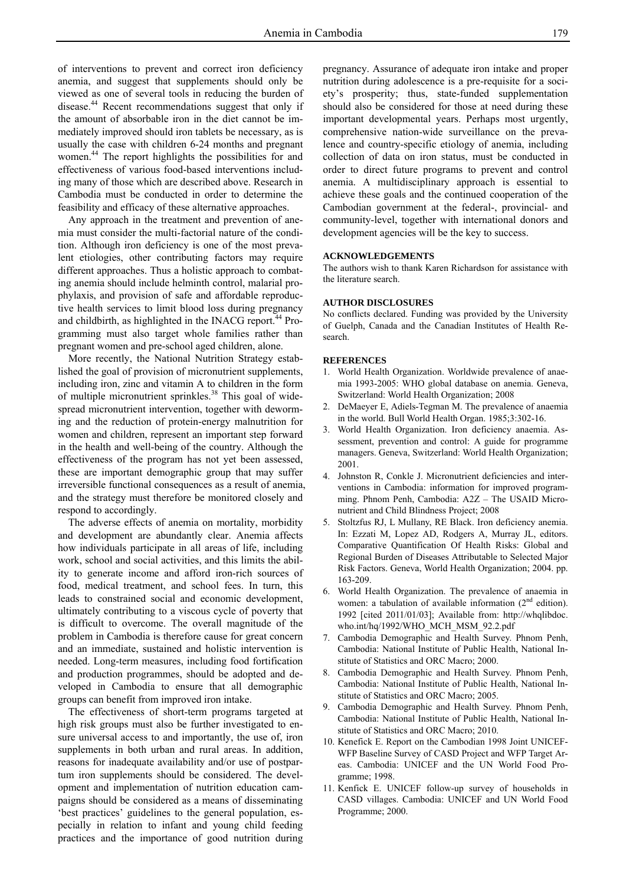of interventions to prevent and correct iron deficiency anemia, and suggest that supplements should only be viewed as one of several tools in reducing the burden of disease.<sup>44</sup> Recent recommendations suggest that only if the amount of absorbable iron in the diet cannot be immediately improved should iron tablets be necessary, as is usually the case with children 6-24 months and pregnant women.44 The report highlights the possibilities for and effectiveness of various food-based interventions including many of those which are described above. Research in Cambodia must be conducted in order to determine the feasibility and efficacy of these alternative approaches.

Any approach in the treatment and prevention of anemia must consider the multi-factorial nature of the condition. Although iron deficiency is one of the most prevalent etiologies, other contributing factors may require different approaches. Thus a holistic approach to combating anemia should include helminth control, malarial prophylaxis, and provision of safe and affordable reproductive health services to limit blood loss during pregnancy and childbirth, as highlighted in the INACG report.<sup>44</sup> Programming must also target whole families rather than pregnant women and pre-school aged children, alone.

More recently, the National Nutrition Strategy established the goal of provision of micronutrient supplements, including iron, zinc and vitamin A to children in the form of multiple micronutrient sprinkles.<sup>38</sup> This goal of widespread micronutrient intervention, together with deworming and the reduction of protein-energy malnutrition for women and children, represent an important step forward in the health and well-being of the country. Although the effectiveness of the program has not yet been assessed, these are important demographic group that may suffer irreversible functional consequences as a result of anemia, and the strategy must therefore be monitored closely and respond to accordingly.

The adverse effects of anemia on mortality, morbidity and development are abundantly clear. Anemia affects how individuals participate in all areas of life, including work, school and social activities, and this limits the ability to generate income and afford iron-rich sources of food, medical treatment, and school fees. In turn, this leads to constrained social and economic development, ultimately contributing to a viscous cycle of poverty that is difficult to overcome. The overall magnitude of the problem in Cambodia is therefore cause for great concern and an immediate, sustained and holistic intervention is needed. Long-term measures, including food fortification and production programmes, should be adopted and developed in Cambodia to ensure that all demographic groups can benefit from improved iron intake.

The effectiveness of short-term programs targeted at high risk groups must also be further investigated to ensure universal access to and importantly, the use of, iron supplements in both urban and rural areas. In addition, reasons for inadequate availability and/or use of postpartum iron supplements should be considered. The development and implementation of nutrition education campaigns should be considered as a means of disseminating 'best practices' guidelines to the general population, especially in relation to infant and young child feeding practices and the importance of good nutrition during

pregnancy. Assurance of adequate iron intake and proper nutrition during adolescence is a pre-requisite for a society's prosperity; thus, state-funded supplementation should also be considered for those at need during these important developmental years. Perhaps most urgently, comprehensive nation-wide surveillance on the prevalence and country-specific etiology of anemia, including collection of data on iron status, must be conducted in order to direct future programs to prevent and control anemia. A multidisciplinary approach is essential to achieve these goals and the continued cooperation of the Cambodian government at the federal-, provincial- and community-level, together with international donors and development agencies will be the key to success.

#### **ACKNOWLEDGEMENTS**

The authors wish to thank Karen Richardson for assistance with the literature search.

#### **AUTHOR DISCLOSURES**

No conflicts declared. Funding was provided by the University of Guelph, Canada and the Canadian Institutes of Health Research.

#### **REFERENCES**

- 1. World Health Organization. Worldwide prevalence of anaemia 1993-2005: WHO global database on anemia. Geneva, Switzerland: World Health Organization; 2008
- 2. DeMaeyer E, Adiels-Tegman M. The prevalence of anaemia in the world. Bull World Health Organ. 1985;3:302-16.
- 3. World Health Organization. Iron deficiency anaemia. Assessment, prevention and control: A guide for programme managers. Geneva, Switzerland: World Health Organization; 2001.
- 4. Johnston R, Conkle J. Micronutrient deficiencies and interventions in Cambodia: information for improved programming. Phnom Penh, Cambodia: A2Z – The USAID Micronutrient and Child Blindness Project; 2008
- 5. Stoltzfus RJ, L Mullany, RE Black. Iron deficiency anemia. In: Ezzati M, Lopez AD, Rodgers A, Murray JL, editors. Comparative Quantification Of Health Risks: Global and Regional Burden of Diseases Attributable to Selected Major Risk Factors. Geneva, World Health Organization; 2004. pp. 163-209.
- 6. World Health Organization. The prevalence of anaemia in women: a tabulation of available information  $(2<sup>nd</sup>$  edition). 1992 [cited 2011/01/03]; Available from: http://whqlibdoc. who.int/hq/1992/WHO\_MCH\_MSM\_92.2.pdf
- 7. Cambodia Demographic and Health Survey. Phnom Penh, Cambodia: National Institute of Public Health, National Institute of Statistics and ORC Macro; 2000.
- 8. Cambodia Demographic and Health Survey. Phnom Penh, Cambodia: National Institute of Public Health, National Institute of Statistics and ORC Macro; 2005.
- Cambodia Demographic and Health Survey. Phnom Penh, Cambodia: National Institute of Public Health, National Institute of Statistics and ORC Macro; 2010.
- 10. Kenefick E. Report on the Cambodian 1998 Joint UNICEF-WFP Baseline Survey of CASD Project and WFP Target Areas. Cambodia: UNICEF and the UN World Food Programme; 1998.
- 11. Kenfick E. UNICEF follow-up survey of households in CASD villages. Cambodia: UNICEF and UN World Food Programme; 2000.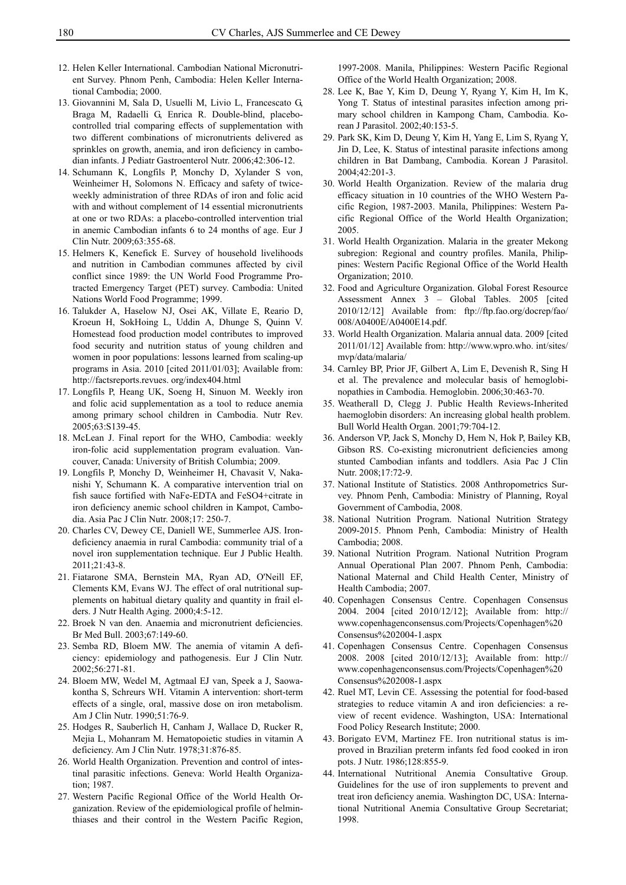- 12. Helen Keller International. Cambodian National Micronutrient Survey. Phnom Penh, Cambodia: Helen Keller International Cambodia; 2000.
- 13. Giovannini M, Sala D, Usuelli M, Livio L, Francescato G, Braga M, Radaelli G, Enrica R. Double-blind, placebocontrolled trial comparing effects of supplementation with two different combinations of micronutrients delivered as sprinkles on growth, anemia, and iron deficiency in cambodian infants. J Pediatr Gastroenterol Nutr. 2006;42:306-12.
- 14. Schumann K, Longfils P, Monchy D, Xylander S von, Weinheimer H, Solomons N. Efficacy and safety of twiceweekly administration of three RDAs of iron and folic acid with and without complement of 14 essential micronutrients at one or two RDAs: a placebo-controlled intervention trial in anemic Cambodian infants 6 to 24 months of age. Eur J Clin Nutr. 2009;63:355-68.
- 15. Helmers K, Kenefick E. Survey of household livelihoods and nutrition in Cambodian communes affected by civil conflict since 1989: the UN World Food Programme Protracted Emergency Target (PET) survey. Cambodia: United Nations World Food Programme; 1999.
- 16. Talukder A, Haselow NJ, Osei AK, Villate E, Reario D, Kroeun H, SokHoing L, Uddin A, Dhunge S, Quinn V. Homestead food production model contributes to improved food security and nutrition status of young children and women in poor populations: lessons learned from scaling-up programs in Asia. 2010 [cited 2011/01/03]; Available from: http://factsreports.revues. org/index404.html
- 17. Longfils P, Heang UK, Soeng H, Sinuon M. Weekly iron and folic acid supplementation as a tool to reduce anemia among primary school children in Cambodia. Nutr Rev. 2005;63:S139-45.
- 18. McLean J. Final report for the WHO, Cambodia: weekly iron-folic acid supplementation program evaluation. Vancouver, Canada: University of British Columbia; 2009.
- 19. Longfils P, Monchy D, Weinheimer H, Chavasit V, Nakanishi Y, Schumann K. A comparative intervention trial on fish sauce fortified with NaFe-EDTA and FeSO4+citrate in iron deficiency anemic school children in Kampot, Cambodia. Asia Pac J Clin Nutr. 2008;17: 250-7.
- 20. Charles CV, Dewey CE, Daniell WE, Summerlee AJS. Irondeficiency anaemia in rural Cambodia: community trial of a novel iron supplementation technique. Eur J Public Health. 2011;21:43-8.
- 21. Fiatarone SMA, Bernstein MA, Ryan AD, O'Neill EF, Clements KM, Evans WJ. The effect of oral nutritional supplements on habitual dietary quality and quantity in frail elders. J Nutr Health Aging. 2000;4:5-12.
- 22. Broek N van den. Anaemia and micronutrient deficiencies. Br Med Bull. 2003;67:149-60.
- 23. Semba RD, Bloem MW. The anemia of vitamin A deficiency: epidemiology and pathogenesis. Eur J Clin Nutr. 2002;56:271-81.
- 24. Bloem MW, Wedel M, Agtmaal EJ van, Speek a J, Saowakontha S, Schreurs WH. Vitamin A intervention: short-term effects of a single, oral, massive dose on iron metabolism. Am J Clin Nutr. 1990;51:76-9.
- 25. Hodges R, Sauberlich H, Canham J, Wallace D, Rucker R, Mejia L, Mohanram M. Hematopoietic studies in vitamin A deficiency. Am J Clin Nutr. 1978;31:876-85.
- 26. World Health Organization. Prevention and control of intestinal parasitic infections. Geneva: World Health Organization; 1987.
- 27. Western Pacific Regional Office of the World Health Organization. Review of the epidemiological profile of helminthiases and their control in the Western Pacific Region,

1997-2008. Manila, Philippines: Western Pacific Regional Office of the World Health Organization; 2008.

- 28. Lee K, Bae Y, Kim D, Deung Y, Ryang Y, Kim H, Im K, Yong T. Status of intestinal parasites infection among primary school children in Kampong Cham, Cambodia. Korean J Parasitol. 2002;40:153-5.
- 29. Park SK, Kim D, Deung Y, Kim H, Yang E, Lim S, Ryang Y, Jin D, Lee, K. Status of intestinal parasite infections among children in Bat Dambang, Cambodia. Korean J Parasitol. 2004;42:201-3.
- 30. World Health Organization. Review of the malaria drug efficacy situation in 10 countries of the WHO Western Pacific Region, 1987-2003. Manila, Philippines: Western Pacific Regional Office of the World Health Organization; 2005.
- 31. World Health Organization. Malaria in the greater Mekong subregion: Regional and country profiles. Manila, Philippines: Western Pacific Regional Office of the World Health Organization; 2010.
- 32. Food and Agriculture Organization. Global Forest Resource Assessment Annex 3 – Global Tables. 2005 [cited 2010/12/12] Available from: ftp://ftp.fao.org/docrep/fao/ 008/A0400E/A0400E14.pdf.
- 33. World Health Organization. Malaria annual data. 2009 [cited 2011/01/12] Available from: http://www.wpro.who. int/sites/ mvp/data/malaria/
- 34. Carnley BP, Prior JF, Gilbert A, Lim E, Devenish R, Sing H et al. The prevalence and molecular basis of hemoglobinopathies in Cambodia. Hemoglobin. 2006;30:463-70.
- 35. Weatherall D, Clegg J. Public Health Reviews-Inherited haemoglobin disorders: An increasing global health problem. Bull World Health Organ. 2001;79:704-12.
- 36. Anderson VP, Jack S, Monchy D, Hem N, Hok P, Bailey KB, Gibson RS. Co-existing micronutrient deficiencies among stunted Cambodian infants and toddlers. Asia Pac J Clin Nutr. 2008;17:72-9.
- 37. National Institute of Statistics. 2008 Anthropometrics Survey. Phnom Penh, Cambodia: Ministry of Planning, Royal Government of Cambodia, 2008.
- 38. National Nutrition Program. National Nutrition Strategy 2009-2015. Phnom Penh, Cambodia: Ministry of Health Cambodia; 2008.
- 39. National Nutrition Program. National Nutrition Program Annual Operational Plan 2007. Phnom Penh, Cambodia: National Maternal and Child Health Center, Ministry of Health Cambodia; 2007.
- 40. Copenhagen Consensus Centre. Copenhagen Consensus 2004. 2004 [cited 2010/12/12]; Available from: http:// www.copenhagenconsensus.com/Projects/Copenhagen%20 Consensus%202004-1.aspx
- 41. Copenhagen Consensus Centre. Copenhagen Consensus 2008. 2008 [cited 2010/12/13]; Available from: http:// www.copenhagenconsensus.com/Projects/Copenhagen%20 Consensus%202008-1.aspx
- 42. Ruel MT, Levin CE. Assessing the potential for food-based strategies to reduce vitamin A and iron deficiencies: a review of recent evidence. Washington, USA: International Food Policy Research Institute; 2000.
- 43. Borigato EVM, Martinez FE. Iron nutritional status is improved in Brazilian preterm infants fed food cooked in iron pots. J Nutr. 1986;128:855-9.
- 44. International Nutritional Anemia Consultative Group. Guidelines for the use of iron supplements to prevent and treat iron deficiency anemia. Washington DC, USA: International Nutritional Anemia Consultative Group Secretariat; 1998.